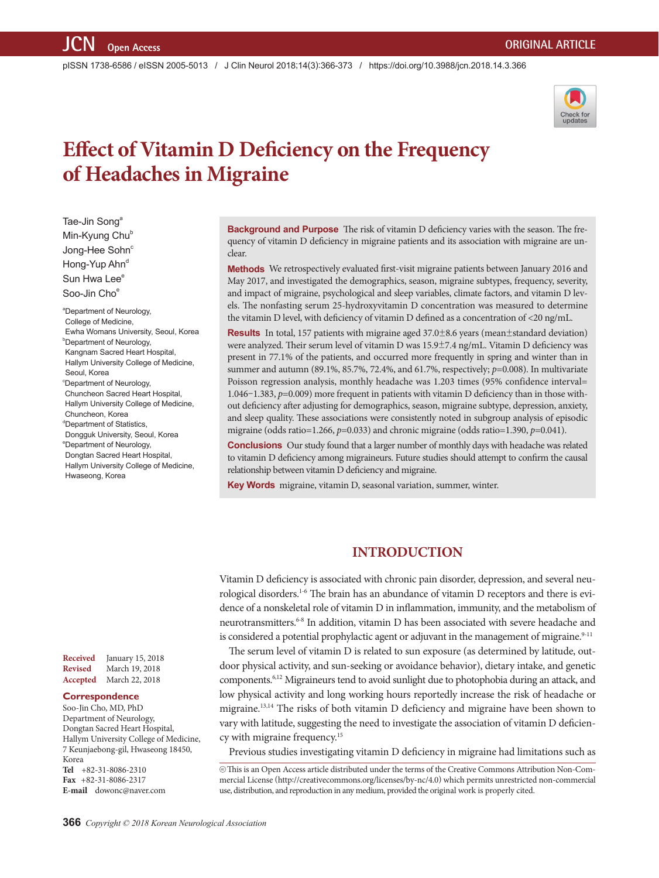pISSN 1738-6586 / eISSN 2005-5013 / J Clin Neurol 2018;14(3):366-373 / https://doi.org/10.3988/jcn.2018.14.3.366



# **Effect of Vitamin D Deficiency on the Frequency of Headaches in Migraine**

Tae-Jin Song<sup>a</sup> Min-Kyung Chu<sup>b</sup> Jong-Hee Sohn<sup>c</sup> Hong-Yup Ahn<sup>d</sup> Sun Hwa Lee<sup>e</sup> Soo-Jin Cho<sup>e</sup>

a Department of Neurology, College of Medicine, Ewha Womans University, Seoul, Korea **Department of Neurology,** Kangnam Sacred Heart Hospital, Hallym University College of Medicine, Seoul, Korea <sup>c</sup>Department of Neurology, Chuncheon Sacred Heart Hospital, Hallym University College of Medicine, Chuncheon, Korea <sup>d</sup>Department of Statistics, Dongguk University, Seoul, Korea e Department of Neurology, Dongtan Sacred Heart Hospital, Hallym University College of Medicine, Hwaseong, Korea

**Received** January 15, 2018 **Revised** March 19, 2018 **Accepted** March 22, 2018

#### **Correspondence**

Soo-Jin Cho, MD, PhD Department of Neurology, Dongtan Sacred Heart Hospital, Hallym University College of Medicine, 7 Keunjaebong-gil, Hwaseong 18450, Korea **Tel** +82-31-8086-2310 **Fax** +82-31-8086-2317 **E-mail** dowonc@naver.com

**Background and Purpose** The risk of vitamin D deficiency varies with the season. The frequency of vitamin D deficiency in migraine patients and its association with migraine are unclear.

**Methods** We retrospectively evaluated first-visit migraine patients between January 2016 and May 2017, and investigated the demographics, season, migraine subtypes, frequency, severity, and impact of migraine, psychological and sleep variables, climate factors, and vitamin D levels. The nonfasting serum 25-hydroxyvitamin D concentration was measured to determine the vitamin D level, with deficiency of vitamin D defined as a concentration of <20 ng/mL.

**Results** In total, 157 patients with migraine aged 37.0±8.6 years (mean±standard deviation) were analyzed. Their serum level of vitamin D was 15.9±7.4 ng/mL. Vitamin D deficiency was present in 77.1% of the patients, and occurred more frequently in spring and winter than in summer and autumn (89.1%, 85.7%, 72.4%, and 61.7%, respectively; *p*=0.008). In multivariate Poisson regression analysis, monthly headache was 1.203 times (95% confidence interval= 1.046–1.383, *p*=0.009) more frequent in patients with vitamin D deficiency than in those without deficiency after adjusting for demographics, season, migraine subtype, depression, anxiety, and sleep quality. These associations were consistently noted in subgroup analysis of episodic migraine (odds ratio=1.266, *p*=0.033) and chronic migraine (odds ratio=1.390, *p*=0.041).

**Conclusions** Our study found that a larger number of monthly days with headache was related to vitamin D deficiency among migraineurs. Future studies should attempt to confirm the causal relationship between vitamin D deficiency and migraine.

**Key Words** migraine, vitamin D, seasonal variation, summer, winter.

## **INTRODUCTION**

Vitamin D deficiency is associated with chronic pain disorder, depression, and several neurological disorders.<sup>1-6</sup> The brain has an abundance of vitamin D receptors and there is evidence of a nonskeletal role of vitamin D in inflammation, immunity, and the metabolism of neurotransmitters.6-8 In addition, vitamin D has been associated with severe headache and is considered a potential prophylactic agent or adjuvant in the management of migraine. $9-11$ 

The serum level of vitamin D is related to sun exposure (as determined by latitude, outdoor physical activity, and sun-seeking or avoidance behavior), dietary intake, and genetic components.6,12 Migraineurs tend to avoid sunlight due to photophobia during an attack, and low physical activity and long working hours reportedly increase the risk of headache or migraine.13,14 The risks of both vitamin D deficiency and migraine have been shown to vary with latitude, suggesting the need to investigate the association of vitamin D deficiency with migraine frequency.15

Previous studies investigating vitamin D deficiency in migraine had limitations such as

cc This is an Open Access article distributed under the terms of the Creative Commons Attribution Non-Commercial License (http://creativecommons.org/licenses/by-nc/4.0) which permits unrestricted non-commercial use, distribution, and reproduction in any medium, provided the original work is properly cited.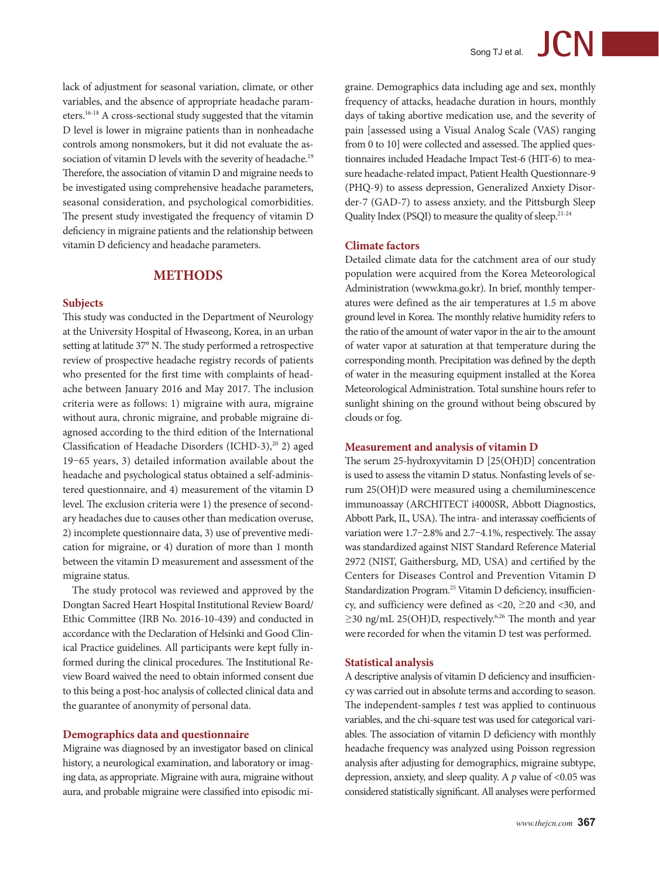lack of adjustment for seasonal variation, climate, or other variables, and the absence of appropriate headache parameters.16-18 A cross-sectional study suggested that the vitamin D level is lower in migraine patients than in nonheadache controls among nonsmokers, but it did not evaluate the association of vitamin D levels with the severity of headache.<sup>19</sup> Therefore, the association of vitamin D and migraine needs to be investigated using comprehensive headache parameters, seasonal consideration, and psychological comorbidities. The present study investigated the frequency of vitamin D deficiency in migraine patients and the relationship between vitamin D deficiency and headache parameters.

# **METHODS**

#### **Subjects**

This study was conducted in the Department of Neurology at the University Hospital of Hwaseong, Korea, in an urban setting at latitude 37° N. The study performed a retrospective review of prospective headache registry records of patients who presented for the first time with complaints of headache between January 2016 and May 2017. The inclusion criteria were as follows: 1) migraine with aura, migraine without aura, chronic migraine, and probable migraine diagnosed according to the third edition of the International Classification of Headache Disorders (ICHD-3),<sup>20</sup> 2) aged 19–65 years, 3) detailed information available about the headache and psychological status obtained a self-administered questionnaire, and 4) measurement of the vitamin D level. The exclusion criteria were 1) the presence of secondary headaches due to causes other than medication overuse, 2) incomplete questionnaire data, 3) use of preventive medication for migraine, or 4) duration of more than 1 month between the vitamin D measurement and assessment of the migraine status.

The study protocol was reviewed and approved by the Dongtan Sacred Heart Hospital Institutional Review Board/ Ethic Committee (IRB No. 2016-10-439) and conducted in accordance with the Declaration of Helsinki and Good Clinical Practice guidelines. All participants were kept fully informed during the clinical procedures. The Institutional Review Board waived the need to obtain informed consent due to this being a post-hoc analysis of collected clinical data and the guarantee of anonymity of personal data.

#### **Demographics data and questionnaire**

Migraine was diagnosed by an investigator based on clinical history, a neurological examination, and laboratory or imaging data, as appropriate. Migraine with aura, migraine without aura, and probable migraine were classified into episodic migraine. Demographics data including age and sex, monthly frequency of attacks, headache duration in hours, monthly days of taking abortive medication use, and the severity of pain [assessed using a Visual Analog Scale (VAS) ranging from 0 to 10] were collected and assessed. The applied questionnaires included Headache Impact Test-6 (HIT-6) to measure headache-related impact, Patient Health Questionnare-9 (PHQ-9) to assess depression, Generalized Anxiety Disorder-7 (GAD-7) to assess anxiety, and the Pittsburgh Sleep Quality Index (PSQI) to measure the quality of sleep.<sup>21-24</sup>

#### **Climate factors**

Detailed climate data for the catchment area of our study population were acquired from the Korea Meteorological Administration (www.kma.go.kr). In brief, monthly temperatures were defined as the air temperatures at 1.5 m above ground level in Korea. The monthly relative humidity refers to the ratio of the amount of water vapor in the air to the amount of water vapor at saturation at that temperature during the corresponding month. Precipitation was defined by the depth of water in the measuring equipment installed at the Korea Meteorological Administration. Total sunshine hours refer to sunlight shining on the ground without being obscured by clouds or fog.

#### **Measurement and analysis of vitamin D**

The serum 25-hydroxyvitamin D [25(OH)D] concentration is used to assess the vitamin D status. Nonfasting levels of serum 25(OH)D were measured using a chemiluminescence immunoassay (ARCHITECT i4000SR, Abbott Diagnostics, Abbott Park, IL, USA). The intra- and interassay coefficients of variation were 1.7–2.8% and 2.7–4.1%, respectively. The assay was standardized against NIST Standard Reference Material 2972 (NIST, Gaithersburg, MD, USA) and certified by the Centers for Diseases Control and Prevention Vitamin D Standardization Program.<sup>25</sup> Vitamin D deficiency, insufficiency, and sufficiency were defined as <20, ≥20 and <30, and  $\geq$ 30 ng/mL 25(OH)D, respectively.<sup>6,26</sup> The month and year were recorded for when the vitamin D test was performed.

#### **Statistical analysis**

A descriptive analysis of vitamin D deficiency and insufficiency was carried out in absolute terms and according to season. The independent-samples *t* test was applied to continuous variables, and the chi-square test was used for categorical variables. The association of vitamin D deficiency with monthly headache frequency was analyzed using Poisson regression analysis after adjusting for demographics, migraine subtype, depression, anxiety, and sleep quality. A *p* value of <0.05 was considered statistically significant. All analyses were performed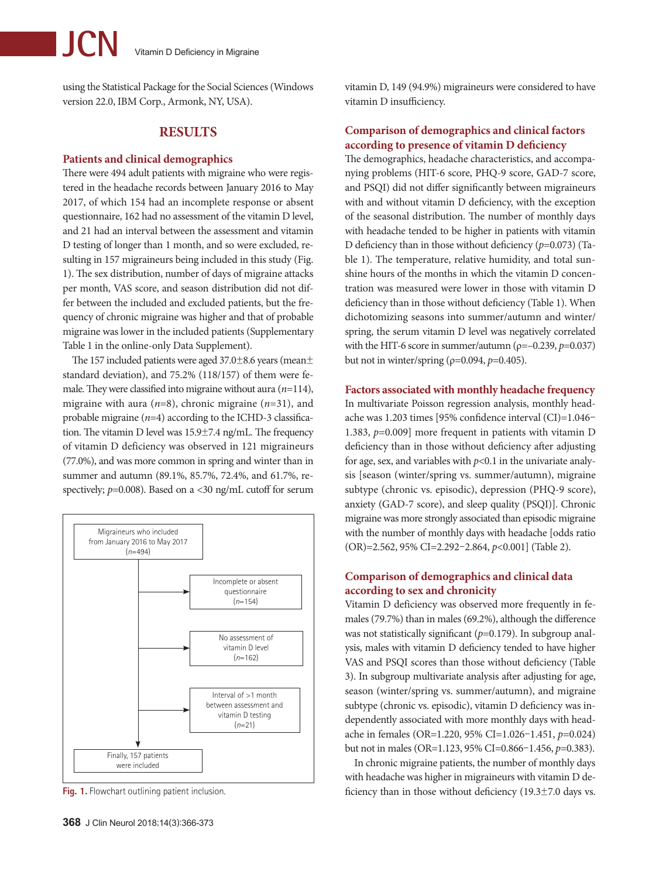using the Statistical Package for the Social Sciences (Windows version 22.0, IBM Corp., Armonk, NY, USA).

# **RESULTS**

#### **Patients and clinical demographics**

There were 494 adult patients with migraine who were registered in the headache records between January 2016 to May 2017, of which 154 had an incomplete response or absent questionnaire, 162 had no assessment of the vitamin D level, and 21 had an interval between the assessment and vitamin D testing of longer than 1 month, and so were excluded, resulting in 157 migraineurs being included in this study (Fig. 1). The sex distribution, number of days of migraine attacks per month, VAS score, and season distribution did not differ between the included and excluded patients, but the frequency of chronic migraine was higher and that of probable migraine was lower in the included patients (Supplementary Table 1 in the online-only Data Supplement).

The 157 included patients were aged 37.0±8.6 years (mean± standard deviation), and 75.2% (118/157) of them were female. They were classified into migraine without aura (*n*=114), migraine with aura (*n*=8), chronic migraine (*n*=31), and probable migraine (*n*=4) according to the ICHD-3 classification. The vitamin D level was 15.9±7.4 ng/mL. The frequency of vitamin D deficiency was observed in 121 migraineurs (77.0%), and was more common in spring and winter than in summer and autumn (89.1%, 85.7%, 72.4%, and 61.7%, respectively;  $p=0.008$ ). Based on a <30 ng/mL cutoff for serum



**Fig. 1.** Flowchart outlining patient inclusion.

vitamin D, 149 (94.9%) migraineurs were considered to have vitamin D insufficiency.

# **Comparison of demographics and clinical factors according to presence of vitamin D deficiency**

The demographics, headache characteristics, and accompanying problems (HIT-6 score, PHQ-9 score, GAD-7 score, and PSQI) did not differ significantly between migraineurs with and without vitamin D deficiency, with the exception of the seasonal distribution. The number of monthly days with headache tended to be higher in patients with vitamin D deficiency than in those without deficiency (*p*=0.073) (Table 1). The temperature, relative humidity, and total sunshine hours of the months in which the vitamin D concentration was measured were lower in those with vitamin D deficiency than in those without deficiency (Table 1). When dichotomizing seasons into summer/autumn and winter/ spring, the serum vitamin D level was negatively correlated with the HIT-6 score in summer/autumn ( $\rho = -0.239$ ,  $p = 0.037$ ) but not in winter/spring (ρ=0.094, *p*=0.405).

#### **Factors associated with monthly headache frequency**

In multivariate Poisson regression analysis, monthly headache was 1.203 times [95% confidence interval (CI)=1.046– 1.383, *p*=0.009] more frequent in patients with vitamin D deficiency than in those without deficiency after adjusting for age, sex, and variables with  $p<0.1$  in the univariate analysis [season (winter/spring vs. summer/autumn), migraine subtype (chronic vs. episodic), depression (PHQ-9 score), anxiety (GAD-7 score), and sleep quality (PSQI)]. Chronic migraine was more strongly associated than episodic migraine with the number of monthly days with headache [odds ratio (OR)=2.562, 95% CI=2.292–2.864, *p*<0.001] (Table 2).

## **Comparison of demographics and clinical data according to sex and chronicity**

Vitamin D deficiency was observed more frequently in females (79.7%) than in males (69.2%), although the difference was not statistically significant ( $p=0.179$ ). In subgroup analysis, males with vitamin D deficiency tended to have higher VAS and PSQI scores than those without deficiency (Table 3). In subgroup multivariate analysis after adjusting for age, season (winter/spring vs. summer/autumn), and migraine subtype (chronic vs. episodic), vitamin D deficiency was independently associated with more monthly days with headache in females (OR=1.220, 95% CI=1.026–1.451, *p*=0.024) but not in males (OR=1.123, 95% CI=0.866–1.456, *p*=0.383).

In chronic migraine patients, the number of monthly days with headache was higher in migraineurs with vitamin D deficiency than in those without deficiency (19.3±7.0 days vs.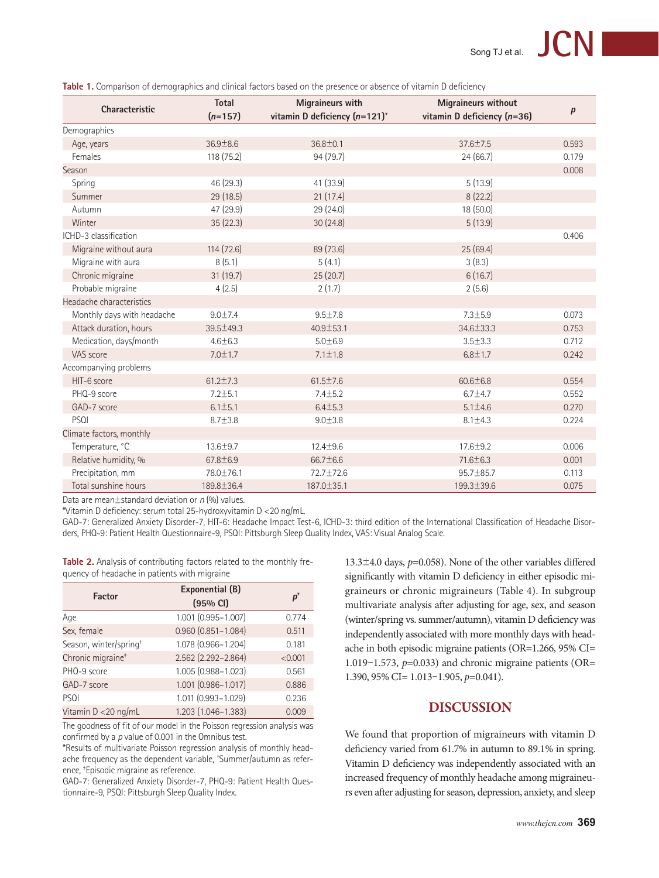|                            | <b>Total</b>   | Migraineurs with                   | <b>Migraineurs without</b>    |           |  |
|----------------------------|----------------|------------------------------------|-------------------------------|-----------|--|
| Characteristic             | $(n=157)$      | vitamin D deficiency $(n=121)^{*}$ | vitamin D deficiency $(n=36)$ | $\pmb{p}$ |  |
| Demographics               |                |                                    |                               |           |  |
| Age, years                 | 36.9±8.6       | $36.8 \pm 0.1$                     | 37.6±7.5                      | 0.593     |  |
| Females                    | 118 (75.2)     | 94(79.7)                           | 24(66.7)                      | 0.179     |  |
| Season                     |                |                                    |                               | 0.008     |  |
| Spring                     | 46 (29.3)      | 41 (33.9)                          | 5(13.9)                       |           |  |
| Summer                     | 29(18.5)       | 21(17.4)                           | 8(22.2)                       |           |  |
| Autumn                     | 47 (29.9)      | 29 (24.0)                          | 18 (50.0)                     |           |  |
| Winter                     | 35(22.3)       | 30(24.8)                           | 5(13.9)                       |           |  |
| ICHD-3 classification      |                |                                    |                               | 0.406     |  |
| Migraine without aura      | 114(72.6)      | 89 (73.6)                          | 25(69.4)                      |           |  |
| Migraine with aura         | 8(5.1)         | 5(4.1)                             | 3(8.3)                        |           |  |
| Chronic migraine           | 31(19.7)       | 25(20.7)                           | 6(16.7)                       |           |  |
| Probable migraine          | 4(2.5)         | 2(1.7)                             | 2(5.6)                        |           |  |
| Headache characteristics   |                |                                    |                               |           |  |
| Monthly days with headache | 9.0 ± 7.4      | $9.5 + 7.8$                        | $7.3 \pm 5.9$                 | 0.073     |  |
| Attack duration, hours     | 39.5±49.3      | $40.9 \pm 53.1$                    | 34.6±33.3                     | 0.753     |  |
| Medication, days/month     | $4.6 \pm 6.3$  | $5.0 \pm 6.9$                      | $3.5 \pm 3.3$                 | 0.712     |  |
| VAS score                  | $7.0 + 1.7$    | $7.1 \pm 1.8$                      | $6.8 + 1.7$                   | 0.242     |  |
| Accompanying problems      |                |                                    |                               |           |  |
| HIT-6 score                | $61.2 \pm 7.3$ | $61.5 \pm 7.6$                     | $60.6 \pm 6.8$                | 0.554     |  |
| PHQ-9 score                | $7.2 \pm 5.1$  | $7.4 \pm 5.2$                      | $6.7 \pm 4.7$                 | 0.552     |  |
| GAD-7 score                | $6.1 \pm 5.1$  | $6.4 + 5.3$                        | $5.1 \pm 4.6$                 | 0.270     |  |
| PSQI                       | $8.7 + 3.8$    | $9.0 + 3.8$                        | $8.1 \pm 4.3$                 | 0.224     |  |
| Climate factors, monthly   |                |                                    |                               |           |  |
| Temperature, °C            | 13.6±9.7       | 12.4±9.6                           | $17.6 \pm 9.2$                | 0.006     |  |
| Relative humidity, %       | 67.8±6.9       | 66.7±6.6                           | 71.6±6.3                      | 0.001     |  |
| Precipitation, mm          | 78.0±76.1      | 72.7±72.6                          | 95.7±85.7                     | 0.113     |  |
| Total sunshine hours       | 189.8±36.4     | 187.0±35.1                         | 199.3±39.6                    | 0.075     |  |

**Table 1.** Comparison of demographics and clinical factors based on the presence or absence of vitamin D deficiency

Data are mean±standard deviation or *n* (%) values.

\*Vitamin D deficiency: serum total 25-hydroxyvitamin D <20 ng/mL.

GAD-7: Generalized Anxiety Disorder-7, HIT-6: Headache Impact Test-6, ICHD-3: third edition of the International Classification of Headache Disorders, PHQ-9: Patient Health Questionnaire-9, PSQI: Pittsburgh Sleep Quality Index, VAS: Visual Analog Scale.

**Table 2.** Analysis of contributing factors related to the monthly frequency of headache in patients with migraine

| <b>Factor</b>                      | Exponential (B)<br>(95% CI) | $p^*$   |
|------------------------------------|-----------------------------|---------|
| Age                                | 1.001 (0.995-1.007)         | 0.774   |
| Sex, female                        | $0.960(0.851 - 1.084)$      | 0.511   |
| Season, winter/spring <sup>+</sup> | 1.078 (0.966-1.204)         | 0.181   |
| Chronic migraine <sup>+</sup>      | 2.562 (2.292-2.864)         | < 0.001 |
| PHQ-9 score                        | 1.005 (0.988-1.023)         | 0.561   |
| GAD-7 score                        | 1.001 (0.986-1.017)         | 0.886   |
| PSQI                               | 1.011 (0.993-1.029)         | 0.236   |
| Vitamin D < 20 ng/mL               | 1.203 (1.046-1.383)         | 0.009   |

The goodness of fit of our model in the Poisson regression analysis was confirmed by a *p* value of 0.001 in the Omnibus test.

\*Results of multivariate Poisson regression analysis of monthly headache frequency as the dependent variable, † Summer/autumn as reference, ‡ Episodic migraine as reference.

GAD-7: Generalized Anxiety Disorder-7, PHQ-9: Patient Health Questionnaire-9, PSQI: Pittsburgh Sleep Quality Index.

13.3±4.0 days, *p*=0.058). None of the other variables differed significantly with vitamin D deficiency in either episodic migraineurs or chronic migraineurs (Table 4). In subgroup multivariate analysis after adjusting for age, sex, and season (winter/spring vs. summer/autumn), vitamin D deficiency was independently associated with more monthly days with headache in both episodic migraine patients (OR=1.266, 95% CI= 1.019–1.573, *p*=0.033) and chronic migraine patients (OR= 1.390, 95% CI= 1.013–1.905, *p*=0.041).

# **DISCUSSION**

We found that proportion of migraineurs with vitamin D deficiency varied from 61.7% in autumn to 89.1% in spring. Vitamin D deficiency was independently associated with an increased frequency of monthly headache among migraineurs even after adjusting for season, depression, anxiety, and sleep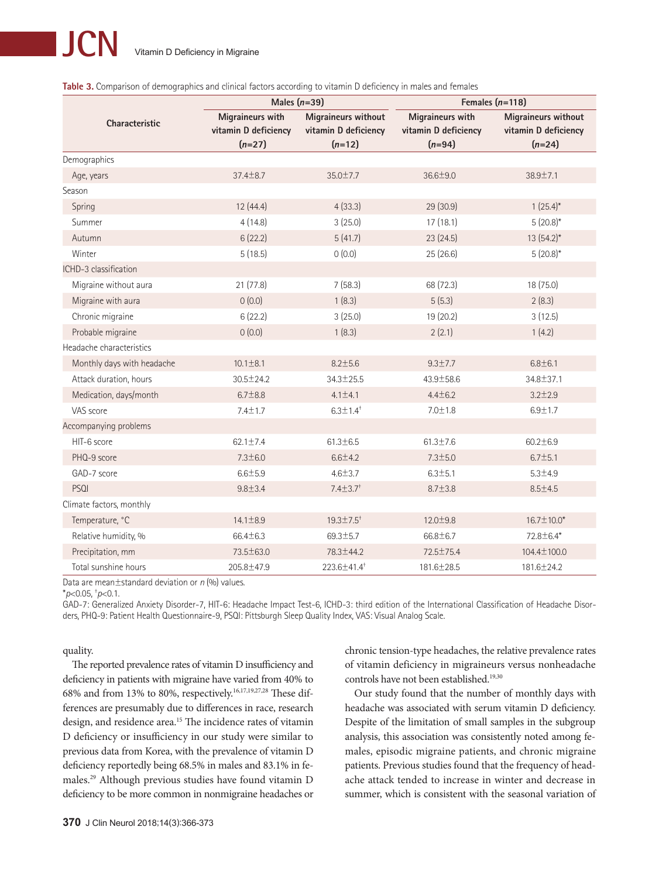|                            | Males $(n=39)$                                       |                                                         | Females $(n=118)$                                    |                                                                |  |  |
|----------------------------|------------------------------------------------------|---------------------------------------------------------|------------------------------------------------------|----------------------------------------------------------------|--|--|
| <b>Characteristic</b>      | Migraineurs with<br>vitamin D deficiency<br>$(n=27)$ | Migraineurs without<br>vitamin D deficiency<br>$(n=12)$ | Migraineurs with<br>vitamin D deficiency<br>$(n=94)$ | <b>Migraineurs without</b><br>vitamin D deficiency<br>$(n=24)$ |  |  |
| Demographics               |                                                      |                                                         |                                                      |                                                                |  |  |
| Age, years                 | $37.4 \pm 8.7$                                       | $35.0 \pm 7.7$                                          | $36.6 \pm 9.0$                                       | $38.9 \pm 7.1$                                                 |  |  |
| Season                     |                                                      |                                                         |                                                      |                                                                |  |  |
| Spring                     | 12(44.4)                                             | 4(33.3)                                                 | 29 (30.9)                                            | $1(25.4)^{*}$                                                  |  |  |
| Summer                     | 4(14.8)                                              | 3(25.0)                                                 | 17(18.1)                                             | $5(20.8)$ *                                                    |  |  |
| Autumn                     | 6(22.2)                                              | 5(41.7)                                                 | 23(24.5)                                             | $13(54.2)^{*}$                                                 |  |  |
| Winter                     | 5(18.5)                                              | 0(0.0)                                                  | 25(26.6)                                             | $5(20.8)$ *                                                    |  |  |
| ICHD-3 classification      |                                                      |                                                         |                                                      |                                                                |  |  |
| Migraine without aura      | 21(77.8)                                             | 7(58.3)                                                 | 68 (72.3)                                            | 18 (75.0)                                                      |  |  |
| Migraine with aura         | 0(0.0)                                               | 1(8.3)                                                  | 5(5.3)                                               | 2(8.3)                                                         |  |  |
| Chronic migraine           | 6(22.2)                                              | 3(25.0)                                                 | 19 (20.2)                                            | 3(12.5)                                                        |  |  |
| Probable migraine          | 0(0.0)                                               | 1(8.3)                                                  | 2(2.1)                                               | 1(4.2)                                                         |  |  |
| Headache characteristics   |                                                      |                                                         |                                                      |                                                                |  |  |
| Monthly days with headache | $10.1 \pm 8.1$                                       | $8.2 \pm 5.6$                                           | $9.3 \pm 7.7$                                        | $6.8 \pm 6.1$                                                  |  |  |
| Attack duration, hours     | $30.5 \pm 24.2$                                      | 34.3±25.5                                               | 43.9±58.6                                            | 34.8±37.1                                                      |  |  |
| Medication, days/month     | $6.7 \pm 8.8$                                        | $4.1 \pm 4.1$                                           | $4.4 \pm 6.2$                                        | $3.2 + 2.9$                                                    |  |  |
| VAS score                  | $7.4 \pm 1.7$                                        | $6.3 \pm 1.4$ <sup>+</sup>                              | $7.0 \pm 1.8$                                        | $6.9 + 1.7$                                                    |  |  |
| Accompanying problems      |                                                      |                                                         |                                                      |                                                                |  |  |
| HIT-6 score                | $62.1 \pm 7.4$                                       | $61.3 \pm 6.5$                                          | $61.3 \pm 7.6$                                       | $60.2 \pm 6.9$                                                 |  |  |
| PHQ-9 score                | $7.3 \pm 6.0$                                        | $6.6 + 4.2$                                             | $7.3 \pm 5.0$                                        | $6.7 \pm 5.1$                                                  |  |  |
| GAD-7 score                | $6.6 + 5.9$                                          | $4.6 \pm 3.7$                                           | $6.3 \pm 5.1$                                        | $5.3 + 4.9$                                                    |  |  |
| PSQI                       | $9.8 + 3.4$                                          | $7.4 \pm 3.7$ <sup>+</sup>                              | $8.7 \pm 3.8$                                        | $8.5 \pm 4.5$                                                  |  |  |
| Climate factors, monthly   |                                                      |                                                         |                                                      |                                                                |  |  |
| Temperature, °C            | $14.1 \pm 8.9$                                       | $19.3 \pm 7.5^+$                                        | 12.0±9.8                                             | $16.7 \pm 10.0*$                                               |  |  |
| Relative humidity, %       | 66.4±6.3                                             | $69.3 \pm 5.7$                                          | 66.8±6.7                                             | 72.8±6.4*                                                      |  |  |
| Precipitation, mm          | 73.5±63.0                                            | 78.3±44.2                                               | 72.5±75.4                                            | 104.4±100.0                                                    |  |  |
| Total sunshine hours       | 205.8±47.9                                           | 223.6±41.4 <sup>+</sup>                                 | 181.6±28.5                                           | 181.6±24.2                                                     |  |  |

|  | Table 3. Comparison of demographics and clinical factors according to vitamin D deficiency in males and females |  |  |  |  |
|--|-----------------------------------------------------------------------------------------------------------------|--|--|--|--|
|  |                                                                                                                 |  |  |  |  |

Data are mean±standard deviation or *n* (%) values.

\**p*<0.05, † *p*<0.1.

GAD-7: Generalized Anxiety Disorder-7, HIT-6: Headache Impact Test-6, ICHD-3: third edition of the International Classification of Headache Disorders, PHQ-9: Patient Health Questionnaire-9, PSQI: Pittsburgh Sleep Quality Index, VAS: Visual Analog Scale.

quality.

The reported prevalence rates of vitamin D insufficiency and deficiency in patients with migraine have varied from 40% to 68% and from 13% to 80%, respectively.<sup>16,17,19,27,28</sup> These differences are presumably due to differences in race, research design, and residence area.<sup>15</sup> The incidence rates of vitamin D deficiency or insufficiency in our study were similar to previous data from Korea, with the prevalence of vitamin D deficiency reportedly being 68.5% in males and 83.1% in females.29 Although previous studies have found vitamin D deficiency to be more common in nonmigraine headaches or

chronic tension-type headaches, the relative prevalence rates of vitamin deficiency in migraineurs versus nonheadache controls have not been established.<sup>19,30</sup>

Our study found that the number of monthly days with headache was associated with serum vitamin D deficiency. Despite of the limitation of small samples in the subgroup analysis, this association was consistently noted among females, episodic migraine patients, and chronic migraine patients. Previous studies found that the frequency of headache attack tended to increase in winter and decrease in summer, which is consistent with the seasonal variation of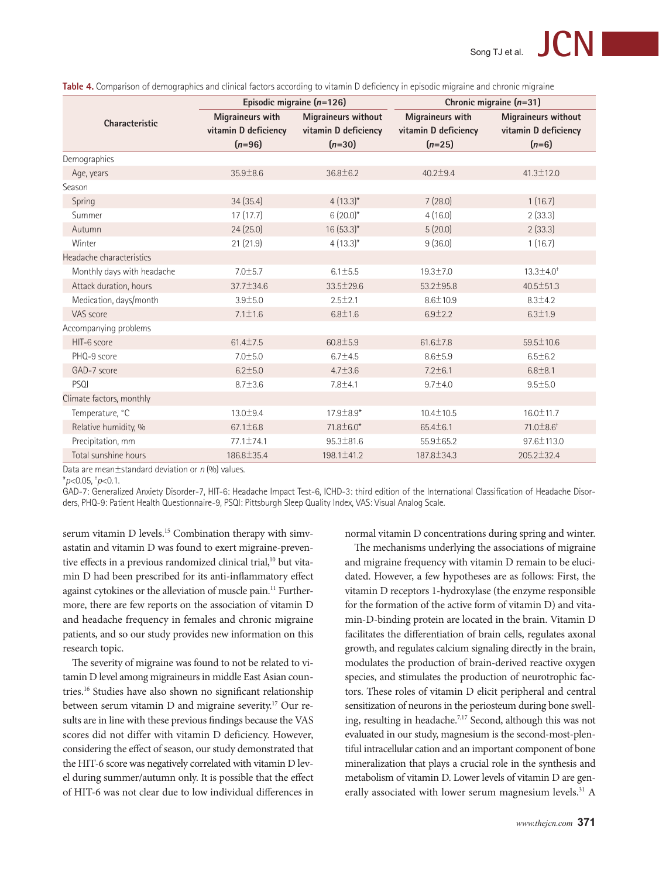| <b>Migraineurs without</b>                                                                                      |  |
|-----------------------------------------------------------------------------------------------------------------|--|
| vitamin D deficiency                                                                                            |  |
|                                                                                                                 |  |
|                                                                                                                 |  |
|                                                                                                                 |  |
|                                                                                                                 |  |
|                                                                                                                 |  |
|                                                                                                                 |  |
|                                                                                                                 |  |
|                                                                                                                 |  |
|                                                                                                                 |  |
|                                                                                                                 |  |
|                                                                                                                 |  |
|                                                                                                                 |  |
|                                                                                                                 |  |
|                                                                                                                 |  |
|                                                                                                                 |  |
|                                                                                                                 |  |
|                                                                                                                 |  |
|                                                                                                                 |  |
|                                                                                                                 |  |
|                                                                                                                 |  |
|                                                                                                                 |  |
|                                                                                                                 |  |
|                                                                                                                 |  |
| $13.3 \pm 4.0^+$<br>40.5±51.3<br>59.5 ± 10.6<br>$16.0 \pm 11.7$<br>$71.0 \pm 8.6^+$<br>97.6±113.0<br>205.2±32.4 |  |

**Table 4.** Comparison of demographics and clinical factors according to vitamin D deficiency in episodic migraine and chronic migraine

Data are mean±standard deviation or *n* (%) values.

\**p*<0.05, † *p*<0.1.

GAD-7: Generalized Anxiety Disorder-7, HIT-6: Headache Impact Test-6, ICHD-3: third edition of the International Classification of Headache Disorders, PHQ-9: Patient Health Questionnaire-9, PSQI: Pittsburgh Sleep Quality Index, VAS: Visual Analog Scale.

serum vitamin D levels.<sup>15</sup> Combination therapy with simvastatin and vitamin D was found to exert migraine-preventive effects in a previous randomized clinical trial,<sup>10</sup> but vitamin D had been prescribed for its anti-inflammatory effect against cytokines or the alleviation of muscle pain.<sup>11</sup> Furthermore, there are few reports on the association of vitamin D and headache frequency in females and chronic migraine patients, and so our study provides new information on this research topic.

The severity of migraine was found to not be related to vitamin D level among migraineurs in middle East Asian countries.16 Studies have also shown no significant relationship between serum vitamin D and migraine severity.17 Our results are in line with these previous findings because the VAS scores did not differ with vitamin D deficiency. However, considering the effect of season, our study demonstrated that the HIT-6 score was negatively correlated with vitamin D level during summer/autumn only. It is possible that the effect of HIT-6 was not clear due to low individual differences in normal vitamin D concentrations during spring and winter.

The mechanisms underlying the associations of migraine and migraine frequency with vitamin D remain to be elucidated. However, a few hypotheses are as follows: First, the vitamin D receptors 1-hydroxylase (the enzyme responsible for the formation of the active form of vitamin D) and vitamin-D-binding protein are located in the brain. Vitamin D facilitates the differentiation of brain cells, regulates axonal growth, and regulates calcium signaling directly in the brain, modulates the production of brain-derived reactive oxygen species, and stimulates the production of neurotrophic factors. These roles of vitamin D elicit peripheral and central sensitization of neurons in the periosteum during bone swelling, resulting in headache.<sup>7,17</sup> Second, although this was not evaluated in our study, magnesium is the second-most-plentiful intracellular cation and an important component of bone mineralization that plays a crucial role in the synthesis and metabolism of vitamin D. Lower levels of vitamin D are generally associated with lower serum magnesium levels.<sup>31</sup> A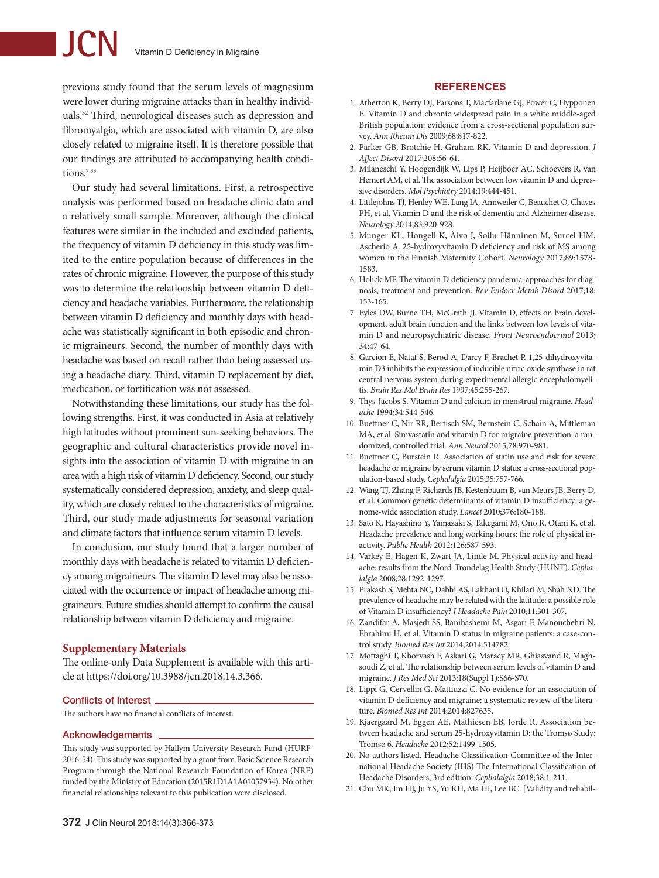# **JCN** Vitamin D Deficiency in Migraine

previous study found that the serum levels of magnesium were lower during migraine attacks than in healthy individuals.32 Third, neurological diseases such as depression and fibromyalgia, which are associated with vitamin D, are also closely related to migraine itself. It is therefore possible that our findings are attributed to accompanying health conditions.7,33

Our study had several limitations. First, a retrospective analysis was performed based on headache clinic data and a relatively small sample. Moreover, although the clinical features were similar in the included and excluded patients, the frequency of vitamin D deficiency in this study was limited to the entire population because of differences in the rates of chronic migraine. However, the purpose of this study was to determine the relationship between vitamin D deficiency and headache variables. Furthermore, the relationship between vitamin D deficiency and monthly days with headache was statistically significant in both episodic and chronic migraineurs. Second, the number of monthly days with headache was based on recall rather than being assessed using a headache diary. Third, vitamin D replacement by diet, medication, or fortification was not assessed.

Notwithstanding these limitations, our study has the following strengths. First, it was conducted in Asia at relatively high latitudes without prominent sun-seeking behaviors. The geographic and cultural characteristics provide novel insights into the association of vitamin D with migraine in an area with a high risk of vitamin D deficiency. Second, our study systematically considered depression, anxiety, and sleep quality, which are closely related to the characteristics of migraine. Third, our study made adjustments for seasonal variation and climate factors that influence serum vitamin D levels.

In conclusion, our study found that a larger number of monthly days with headache is related to vitamin D deficiency among migraineurs. The vitamin D level may also be associated with the occurrence or impact of headache among migraineurs. Future studies should attempt to confirm the causal relationship between vitamin D deficiency and migraine.

#### **Supplementary Materials**

The online-only Data Supplement is available with this article at https://doi.org/10.3988/jcn.2018.14.3.366.

#### Conflicts of Interest

The authors have no financial conflicts of interest.

#### Acknowledgements

This study was supported by Hallym University Research Fund (HURF-2016-54). This study was supported by a grant from Basic Science Research Program through the National Research Foundation of Korea (NRF) funded by the Ministry of Education (2015R1D1A1A01057934). No other financial relationships relevant to this publication were disclosed.

#### **REFERENCES**

- 1. Atherton K, Berry DJ, Parsons T, Macfarlane GJ, Power C, Hypponen E. Vitamin D and chronic widespread pain in a white middle-aged British population: evidence from a cross-sectional population survey. *Ann Rheum Dis* 2009;68:817-822.
- 2. Parker GB, Brotchie H, Graham RK. Vitamin D and depression. *J Affect Disord* 2017;208:56-61.
- 3. Milaneschi Y, Hoogendijk W, Lips P, Heijboer AC, Schoevers R, van Hemert AM, et al. The association between low vitamin D and depressive disorders. *Mol Psychiatry* 2014;19:444-451.
- 4. Littlejohns TJ, Henley WE, Lang IA, Annweiler C, Beauchet O, Chaves PH, et al. Vitamin D and the risk of dementia and Alzheimer disease. *Neurology* 2014;83:920-928.
- 5. Munger KL, Hongell K, Åivo J, Soilu-Hänninen M, Surcel HM, Ascherio A. 25-hydroxyvitamin D deficiency and risk of MS among women in the Finnish Maternity Cohort. *Neurology* 2017;89:1578- 1583.
- 6. Holick MF. The vitamin D deficiency pandemic: approaches for diagnosis, treatment and prevention. *Rev Endocr Metab Disord* 2017;18: 153-165.
- 7. Eyles DW, Burne TH, McGrath JJ. Vitamin D, effects on brain development, adult brain function and the links between low levels of vitamin D and neuropsychiatric disease. *Front Neuroendocrinol* 2013; 34:47-64.
- 8. Garcion E, Nataf S, Berod A, Darcy F, Brachet P. 1,25-dihydroxyvitamin D3 inhibits the expression of inducible nitric oxide synthase in rat central nervous system during experimental allergic encephalomyelitis. *Brain Res Mol Brain Res* 1997;45:255-267.
- 9. Thys-Jacobs S. Vitamin D and calcium in menstrual migraine. *Headache* 1994;34:544-546.
- 10. Buettner C, Nir RR, Bertisch SM, Bernstein C, Schain A, Mittleman MA, et al. Simvastatin and vitamin D for migraine prevention: a randomized, controlled trial. *Ann Neurol* 2015;78:970-981.
- 11. Buettner C, Burstein R. Association of statin use and risk for severe headache or migraine by serum vitamin D status: a cross-sectional population-based study. *Cephalalgia* 2015;35:757-766.
- 12. Wang TJ, Zhang F, Richards JB, Kestenbaum B, van Meurs JB, Berry D, et al. Common genetic determinants of vitamin D insufficiency: a genome-wide association study. *Lancet* 2010;376:180-188.
- 13. Sato K, Hayashino Y, Yamazaki S, Takegami M, Ono R, Otani K, et al. Headache prevalence and long working hours: the role of physical inactivity. *Public Health* 2012;126:587-593.
- 14. Varkey E, Hagen K, Zwart JA, Linde M. Physical activity and headache: results from the Nord-Trondelag Health Study (HUNT). *Cephalalgia* 2008;28:1292-1297.
- 15. Prakash S, Mehta NC, Dabhi AS, Lakhani O, Khilari M, Shah ND. The prevalence of headache may be related with the latitude: a possible role of Vitamin D insufficiency? *J Headache Pain* 2010;11:301-307.
- 16. Zandifar A, Masjedi SS, Banihashemi M, Asgari F, Manouchehri N, Ebrahimi H, et al. Vitamin D status in migraine patients: a case-control study. *Biomed Res Int* 2014;2014:514782.
- 17. Mottaghi T, Khorvash F, Askari G, Maracy MR, Ghiasvand R, Maghsoudi Z, et al. The relationship between serum levels of vitamin D and migraine. *J Res Med Sci* 2013;18(Suppl 1):S66-S70.
- 18. Lippi G, Cervellin G, Mattiuzzi C. No evidence for an association of vitamin D deficiency and migraine: a systematic review of the literature. *Biomed Res Int* 2014;2014:827635.
- 19. Kjaergaard M, Eggen AE, Mathiesen EB, Jorde R. Association between headache and serum 25-hydroxyvitamin D: the Tromsø Study: Tromsø 6. *Headache* 2012;52:1499-1505.
- 20. No authors listed. Headache Classification Committee of the International Headache Society (IHS) The International Classification of Headache Disorders, 3rd edition. *Cephalalgia* 2018;38:1-211.
- 21. Chu MK, Im HJ, Ju YS, Yu KH, Ma HI, Lee BC. [Validity and reliabil-